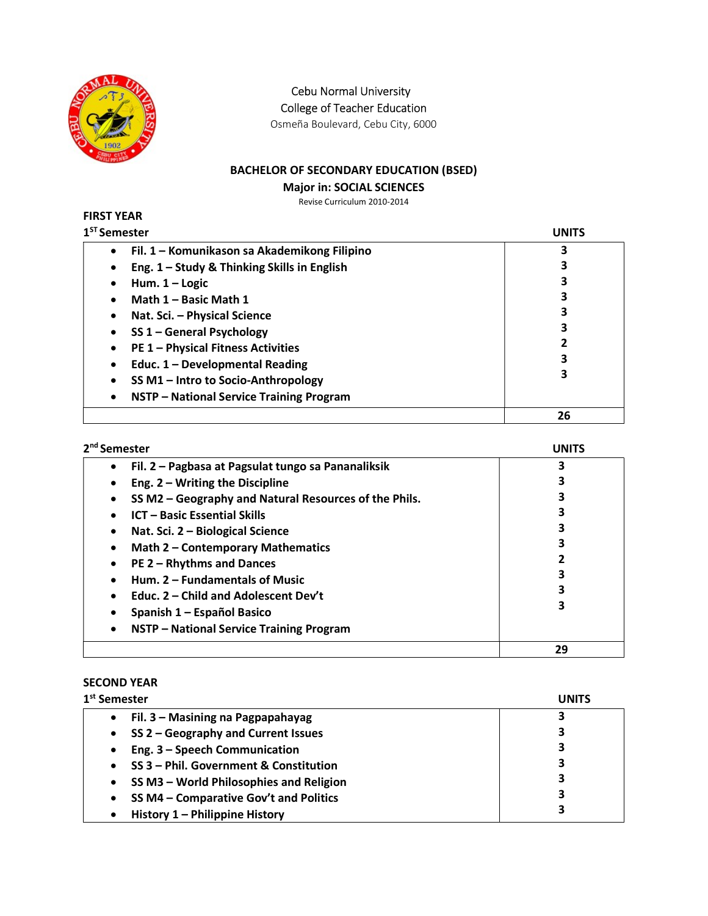

Cebu Normal University

College of Teacher Education

Osmeña Boulevard, Cebu City, 6000

# BACHELOR OF SECONDARY EDUCATION (BSED)

### Major in: SOCIAL SCIENCES

Revise Curriculum 2010-2014

#### FIRST YEAR  $1<sup>ST</sup> S<sub>0</sub>$

| <sup>st</sup> Semester                           | UNITS |
|--------------------------------------------------|-------|
| Fil. 1 – Komunikason sa Akademikong Filipino     | 3     |
| Eng. 1 - Study & Thinking Skills in English      |       |
| Hum. $1 -$ Logic                                 | 3     |
| Math 1 - Basic Math 1                            | 3     |
| Nat. Sci. - Physical Science                     | 3     |
| SS 1 - General Psychology                        | 3     |
| <b>PE 1 - Physical Fitness Activities</b>        |       |
| Educ. 1 - Developmental Reading                  | 3     |
| SS M1 - Intro to Socio-Anthropology<br>$\bullet$ | 3     |
| NSTP - National Service Training Program<br>٠    |       |
|                                                  | 26    |

| 2 <sup>nd</sup> Semester                                           | UNITS |
|--------------------------------------------------------------------|-------|
| Fil. 2 - Pagbasa at Pagsulat tungo sa Pananaliksik<br>$\bullet$    |       |
| Eng. $2 - W$ riting the Discipline<br>$\bullet$                    |       |
| SS M2 - Geography and Natural Resources of the Phils.<br>$\bullet$ |       |
| <b>ICT - Basic Essential Skills</b><br>$\bullet$                   |       |
| Nat. Sci. 2 - Biological Science<br>$\bullet$                      |       |
| Math 2 - Contemporary Mathematics<br>$\bullet$                     |       |
| PE 2 - Rhythms and Dances<br>$\bullet$                             |       |
| Hum. 2 - Fundamentals of Music<br>$\bullet$                        |       |
| Educ. 2 – Child and Adolescent Dev't<br>$\bullet$                  |       |
| Spanish 1 – Español Basico<br>٠                                    |       |
| NSTP - National Service Training Program<br>$\bullet$              |       |
|                                                                    | 29    |

# SECOND YEAR

| 1 <sup>st</sup> Semester                             | <b>UNITS</b> |
|------------------------------------------------------|--------------|
| Fil. 3 – Masining na Pagpapahayag<br>$\bullet$       | 3            |
| SS 2 - Geography and Current Issues<br>$\bullet$     | 3            |
| Eng. 3 - Speech Communication<br>$\bullet$           | 3            |
| SS 3 - Phil. Government & Constitution<br>$\bullet$  | 3            |
| SS M3 - World Philosophies and Religion<br>$\bullet$ | 3            |
| SS M4 - Comparative Gov't and Politics<br>$\bullet$  | 3            |
| History 1 - Philippine History<br>$\bullet$          | 3            |
|                                                      |              |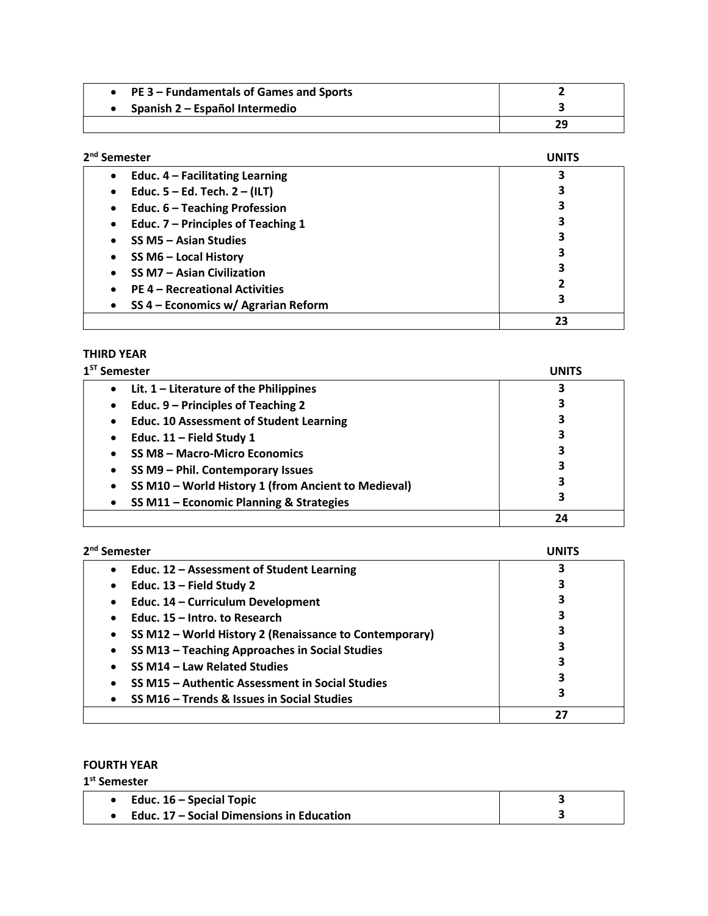|                                | PE 3 – Fundamentals of Games and Sports |    |
|--------------------------------|-----------------------------------------|----|
| Spanish 2 – Español Intermedio |                                         |    |
|                                |                                         | 29 |

| 2 <sup>nd</sup> Semester                           |    |
|----------------------------------------------------|----|
| Educ. $4$ – Facilitating Learning<br>$\bullet$     |    |
| Educ. $5 - Ed$ . Tech. $2 - (ILT)$<br>$\bullet$    |    |
| Educ. 6 - Teaching Profession<br>٠                 | 3  |
| Educ. 7 - Principles of Teaching 1<br>٠            | 3  |
| SS M5 - Asian Studies<br>٠                         | 3  |
| SS M6 - Local History<br>$\bullet$                 | 3  |
| <b>SS M7 - Asian Civilization</b><br>$\bullet$     | 3  |
| <b>PE 4 - Recreational Activities</b><br>$\bullet$ | 2  |
| SS 4 - Economics w/ Agrarian Reform<br>$\bullet$   | 3  |
|                                                    | 23 |

### THIRD YEAR

| 1 <sup>ST</sup> Semester                            | UNITS |
|-----------------------------------------------------|-------|
| Lit. $1$ – Literature of the Philippines            | 3     |
| Educ. 9 - Principles of Teaching 2<br>٠             |       |
| <b>Educ. 10 Assessment of Student Learning</b>      | 3     |
| Educ. $11$ – Field Study 1<br>$\bullet$             | 3     |
| SS M8 - Macro-Micro Economics                       | 3     |
| SS M9 - Phil. Contemporary Issues                   | 3     |
| SS M10 - World History 1 (from Ancient to Medieval) | 3     |
| SS M11 - Economic Planning & Strategies             | 3     |
|                                                     | 24    |

| 2 <sup>nd</sup> Semester                                            | UNITS |
|---------------------------------------------------------------------|-------|
| Educ. 12 - Assessment of Student Learning<br>$\bullet$              |       |
| Educ. $13$ – Field Study 2<br>٠                                     |       |
| Educ. 14 - Curriculum Development<br>$\bullet$                      |       |
| Educ. 15 - Intro. to Research                                       |       |
| SS M12 - World History 2 (Renaissance to Contemporary)<br>$\bullet$ |       |
| SS M13 - Teaching Approaches in Social Studies<br>$\bullet$         |       |
| SS M14 - Law Related Studies                                        |       |
| SS M15 - Authentic Assessment in Social Studies                     |       |
| SS M16 - Trends & Issues in Social Studies                          | 3     |
|                                                                     | 27    |

### FOURTH YEAR

1<sup>st</sup> Semester

| Educ. $16$ – Special Topic                |  |
|-------------------------------------------|--|
| Educ. 17 – Social Dimensions in Education |  |